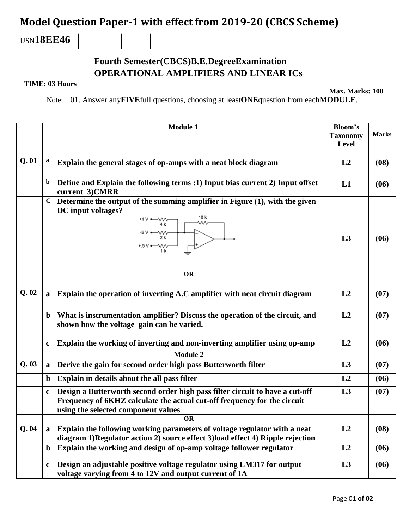## **Model Question Paper-1 with effect from 2019-20 (CBCS Scheme)**

USN**18EE46**

## **Fourth Semester(CBCS)B.E.DegreeExamination OPERATIONAL AMPLIFIERS AND LINEAR ICs**

## **TIME: 03 Hours**

**Max. Marks: 100**

Note: 01. Answer any**FIVE**full questions, choosing at least**ONE**question from each**MODULE**.

|       |              | <b>Module 1</b>                                                                                                                                                                                 | Bloom's<br><b>Taxonomy</b><br><b>Level</b> | <b>Marks</b> |
|-------|--------------|-------------------------------------------------------------------------------------------------------------------------------------------------------------------------------------------------|--------------------------------------------|--------------|
| Q.01  | a            | Explain the general stages of op-amps with a neat block diagram                                                                                                                                 | L2                                         | (08)         |
|       | b            | Define and Explain the following terms :1) Input bias current 2) Input offset<br>current 3)CMRR                                                                                                 | L1                                         | (06)         |
|       | $\mathbf C$  | Determine the output of the summing amplifier in Figure (1), with the given<br>DC input voltages?<br>10 k<br>+1 V ← Wv<br>wv<br>4 k<br>-2 V <del>- -</del> VVV<br>2 k<br>+.5 V ← ⁄ ∨ ∧<br>1 k   | L3                                         | (06)         |
|       |              | OR                                                                                                                                                                                              |                                            |              |
| Q.02  | a            | Explain the operation of inverting A.C amplifier with neat circuit diagram                                                                                                                      | L2                                         | (07)         |
|       | $\mathbf b$  | What is instrumentation amplifier? Discuss the operation of the circuit, and<br>shown how the voltage gain can be varied.                                                                       | L2                                         | (07)         |
|       | c            | Explain the working of inverting and non-inverting amplifier using op-amp                                                                                                                       | L2                                         | (06)         |
|       |              | <b>Module 2</b>                                                                                                                                                                                 |                                            |              |
| Q. 03 | $\mathbf{a}$ | Derive the gain for second order high pass Butterworth filter                                                                                                                                   | L3                                         | (07)         |
|       | $\mathbf b$  | Explain in details about the all pass filter                                                                                                                                                    | L2                                         | (06)         |
|       | $\mathbf c$  | Design a Butterworth second order high pass filter circuit to have a cut-off<br>Frequency of 6KHZ calculate the actual cut-off frequency for the circuit<br>using the selected component values | L3                                         | (07)         |
| Q.04  | a            | <b>OR</b><br>Explain the following working parameters of voltage regulator with a neat                                                                                                          | L2                                         | (08)         |
|       |              | diagram 1)Regulator action 2) source effect 3)load effect 4) Ripple rejection                                                                                                                   |                                            |              |
|       | $\mathbf b$  | Explain the working and design of op-amp voltage follower regulator                                                                                                                             | L2                                         | (06)         |
|       | $\mathbf c$  | Design an adjustable positive voltage regulator using LM317 for output<br>voltage varying from 4 to 12V and output current of 1A                                                                | L3                                         | (06)         |